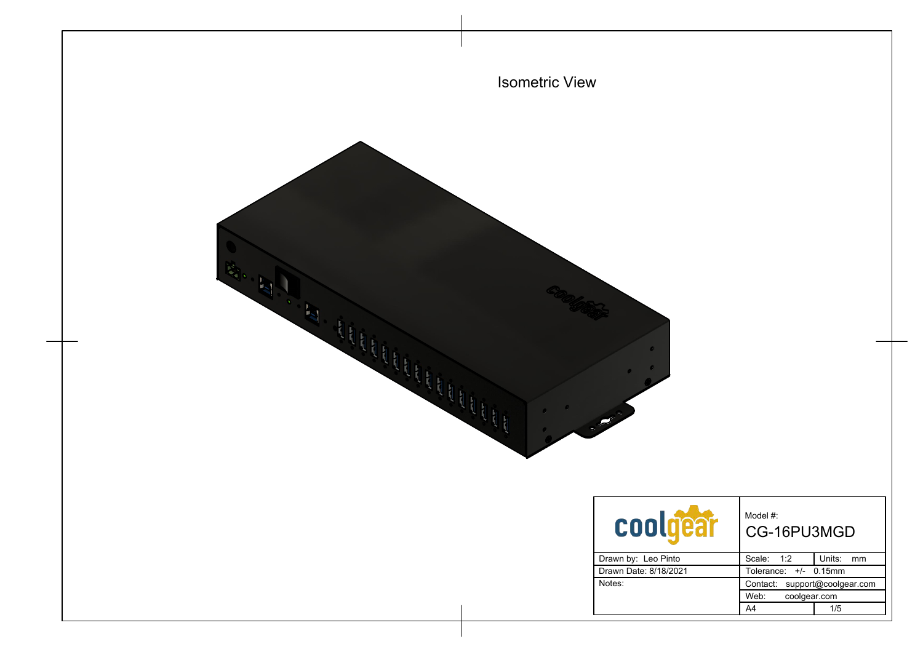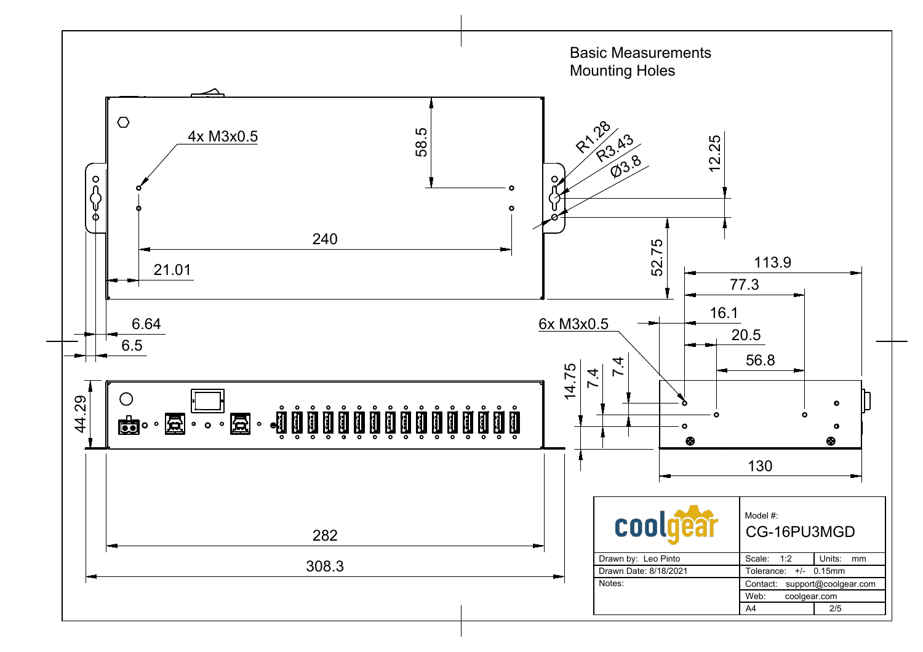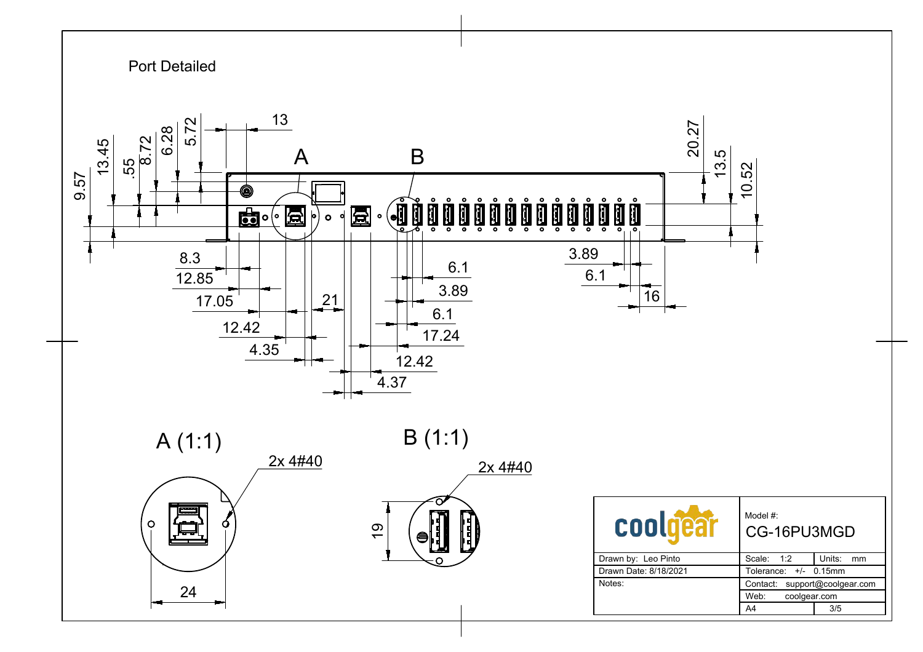![](_page_2_Figure_0.jpeg)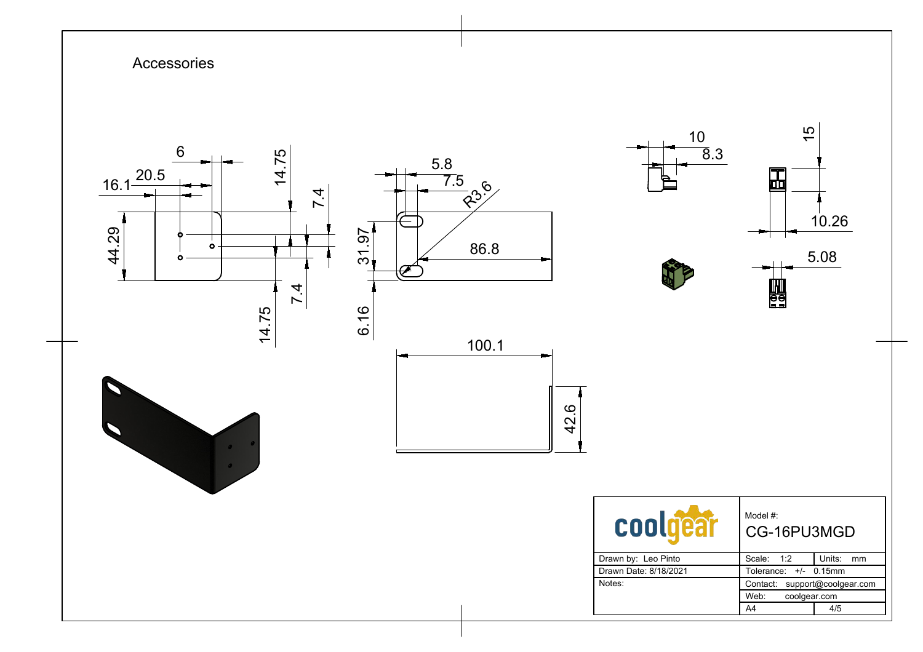![](_page_3_Figure_0.jpeg)